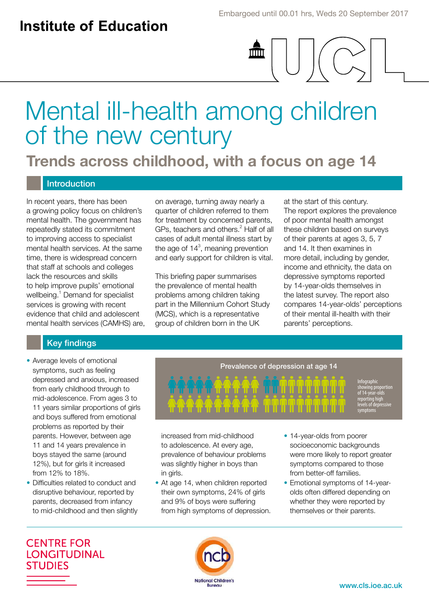$\widehat{\mathsf{mm}}$ 

# Mental ill-health among children of the new century

**Trends across childhood, with a focus on age 14**

## Introduction

In recent years, there has been a growing policy focus on children's mental health. The government has repeatedly stated its commitment to improving access to specialist mental health services. At the same time, there is widespread concern that staff at schools and colleges lack the resources and skills to help improve pupils' emotional wellbeing.<sup>1</sup> Demand for specialist services is growing with recent evidence that child and adolescent mental health services (CAMHS) are, on average, turning away nearly a quarter of children referred to them for treatment by concerned parents, GPs, teachers and others.<sup>2</sup> Half of all cases of adult mental illness start by the age of  $14<sup>3</sup>$ , meaning prevention and early support for children is vital.

This briefing paper summarises the prevalence of mental health problems among children taking part in the Millennium Cohort Study (MCS), which is a representative group of children born in the UK

at the start of this century. The report explores the prevalence of poor mental health amongst these children based on surveys of their parents at ages 3, 5, 7 and 14. It then examines in more detail, including by gender, income and ethnicity, the data on depressive symptoms reported by 14-year-olds themselves in the latest survey. The report also compares 14-year-olds' perceptions of their mental ill-health with their parents' perceptions.

## Key findings

- Average levels of emotional symptoms, such as feeling depressed and anxious, increased from early childhood through to mid-adolescence. From ages 3 to 11 years similar proportions of girls and boys suffered from emotional problems as reported by their parents. However, between age 11 and 14 years prevalence in boys stayed the same (around 12%), but for girls it increased from 12% to 18%.
- Difficulties related to conduct and disruptive behaviour, reported by parents, decreased from infancy to mid-childhood and then slightly



increased from mid-childhood to adolescence. At every age, prevalence of behaviour problems was slightly higher in boys than in girls.

- At age 14, when children reported their own symptoms, 24% of girls and 9% of boys were suffering from high symptoms of depression.
- 14-year-olds from poorer socioeconomic backgrounds were more likely to report greater symptoms compared to those from better-off families.
- Emotional symptoms of 14-yearolds often differed depending on whether they were reported by themselves or their parents.

**CENTRE FOR LONGITUDINAL STUDIES** 

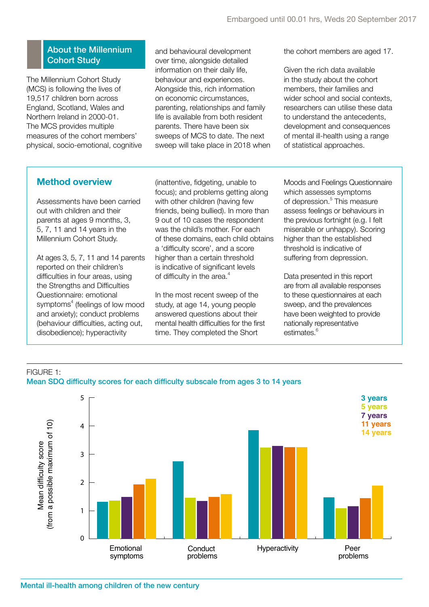## About the Millennium Cohort Study

The Millennium Cohort Study (MCS) is following the lives of 19,517 children born across England, Scotland, Wales and Northern Ireland in 2000-01. The MCS provides multiple measures of the cohort members' physical, socio-emotional, cognitive and behavioural development over time, alongside detailed information on their daily life, behaviour and experiences. Alongside this, rich information on economic circumstances, parenting, relationships and family life is available from both resident parents. There have been six sweeps of MCS to date. The next sweep will take place in 2018 when the cohort members are aged 17.

Given the rich data available in the study about the cohort members, their families and wider school and social contexts, researchers can utilise these data to understand the antecedents, development and consequences of mental ill-health using a range of statistical approaches.

## **Method overview**

Assessments have been carried out with children and their parents at ages 9 months, 3, 5, 7, 11 and 14 years in the Millennium Cohort Study.

At ages 3, 5, 7, 11 and 14 parents reported on their children's difficulties in four areas, using the Strengths and Difficulties Questionnaire: emotional symptoms<sup>4</sup> (feelings of low mood and anxiety); conduct problems (behaviour difficulties, acting out, disobedience); hyperactivity

(inattentive, fidgeting, unable to focus); and problems getting along with other children (having few friends, being bullied). In more than 9 out of 10 cases the respondent was the child's mother. For each of these domains, each child obtains a 'difficulty score', and a score higher than a certain threshold is indicative of significant levels of difficulty in the area. $4$ 

In the most recent sweep of the study, at age 14, young people answered questions about their mental health difficulties for the first time. They completed the Short

Moods and Feelings Questionnaire which assesses symptoms of depression.<sup>5</sup> This measure assess feelings or behaviours in the previous fortnight (e.g. I felt miserable or unhappy). Scoring higher than the established threshold is indicative of suffering from depression.

Data presented in this report are from all available responses to these questionnaires at each sweep, and the prevalences have been weighted to provide nationally representative estimates.<sup>6</sup>

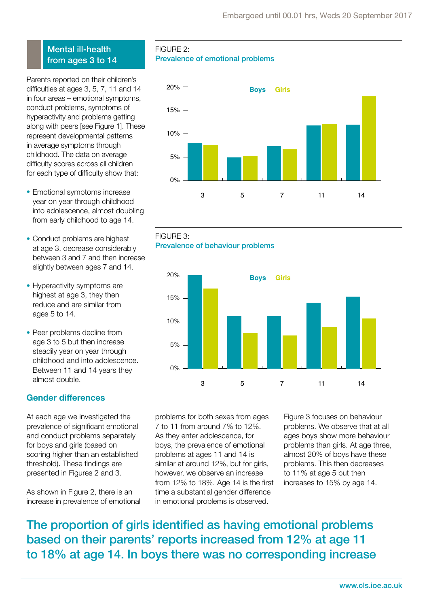## Mental ill-health from ages 3 to 14

Parents reported on their children's difficulties at ages 3, 5, 7, 11 and 14 in four areas – emotional symptoms, conduct problems, symptoms of hyperactivity and problems getting along with peers [see Figure 1]. These represent developmental patterns in average symptoms through childhood. The data on average difficulty scores across all children for each type of difficulty show that:

- Emotional symptoms increase year on year through childhood into adolescence, almost doubling from early childhood to age 14.
- Conduct problems are highest at age 3, decrease considerably between 3 and 7 and then increase slightly between ages 7 and 14.
- Hyperactivity symptoms are highest at age 3, they then reduce and are similar from ages 5 to 14.
- Peer problems decline from age 3 to 5 but then increase steadily year on year through childhood and into adolescence. Between 11 and 14 years they almost double.

## **Gender differences**

At each age we investigated the prevalence of significant emotional and conduct problems separately for boys and girls (based on scoring higher than an established threshold). These findings are presented in Figures 2 and 3.

As shown in Figure 2, there is an increase in prevalence of emotional

FIGURE  $2:$ Prevalence of emotional problems







problems for both sexes from ages 7 to 11 from around 7% to 12%. As they enter adolescence, for boys, the prevalence of emotional problems at ages 11 and 14 is similar at around 12%, but for girls, however, we observe an increase from 12% to 18%. Age 14 is the first time a substantial gender difference in emotional problems is observed.

Figure 3 focuses on behaviour problems. We observe that at all ages boys show more behaviour problems than girls. At age three, almost 20% of boys have these problems. This then decreases to 11% at age 5 but then increases to 15% by age 14.

The proportion of girls identified as having emotional problems based on their parents' reports increased from 12% at age 11 to 18% at age 14. In boys there was no corresponding increase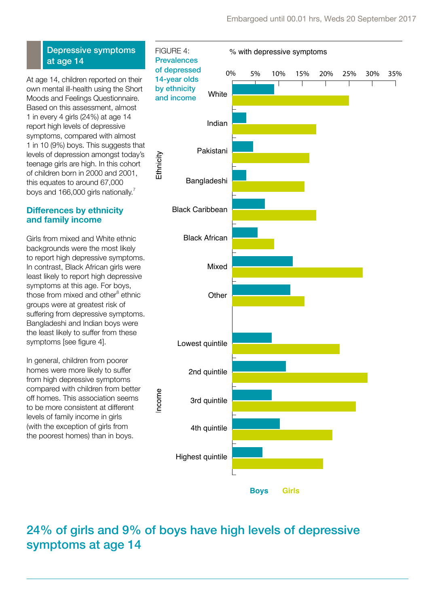## Depressive symptoms at age 14

At age 14, children reported on their own mental ill-health using the Short Moods and Feelings Questionnaire. Based on this assessment, almost 1 in every 4 girls (24%) at age 14 report high levels of depressive symptoms, compared with almost 1 in 10 (9%) boys. This suggests that levels of depression amongst today's teenage girls are high. In this cohort of children born in 2000 and 2001, this equates to around 67,000 boys and 166,000 girls nationally.<sup>7</sup>

## **Differences by ethnicity and family income**

Girls from mixed and White ethnic backgrounds were the most likely to report high depressive symptoms. In contrast, Black African girls were least likely to report high depressive symptoms at this age. For boys, those from mixed and other<sup>8</sup> ethnic groups were at greatest risk of suffering from depressive symptoms. Bangladeshi and Indian boys were the least likely to suffer from these symptoms [see figure 4].

In general, children from poorer homes were more likely to suffer from high depressive symptoms compared with children from better off homes. This association seems to be more consistent at different levels of family income in girls (with the exception of girls from the poorest homes) than in boys.



## 24% of girls and 9% of boys have high levels of depressive symptoms at age 14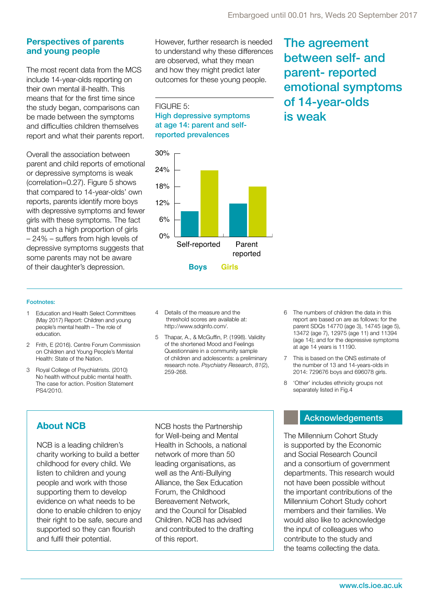The agreement

between self- and

emotional symptoms

parent- reported

of 14-year-olds

is weak

## **Perspectives of parents and young people**

The most recent data from the MCS include 14-year-olds reporting on their own mental ill-health. This means that for the first time since the study began, comparisons can be made between the symptoms and difficulties children themselves report and what their parents report.

Overall the association between parent and child reports of emotional or depressive symptoms is weak (correlation=0.27). Figure 5 shows that compared to 14-year-olds' own reports, parents identify more boys with depressive symptoms and fewer girls with these symptoms. The fact that such a high proportion of girls – 24% – suffers from high levels of depressive symptoms suggests that some parents may not be aware of their daughter's depression.

However, further research is needed to understand why these differences are observed, what they mean and how they might predict later outcomes for these young people.

FIGURE 5: High depressive symptoms at age 14: parent and selfreported prevalences



## Footnotes:

- 1 Education and Health Select Committees (May 2017) Report: Children and young people's mental health – The role of education.
- 2 Frith, E (2016). Centre Forum Commission on Children and Young People's Mental Health: State of the Nation.
- 3 Royal College of Psychiatrists. (2010) No health without public mental health. The case for action. Position Statement PS4/2010.
- 4 Details of the measure and the threshold scores are available at: http://www.sdqinfo.com/.
- 5 Thapar, A., & McGuffin, P. (1998). Validity of the shortened Mood and Feelings Questionnaire in a community sample of children and adolescents: a preliminary research note. *Psychiatry Research*, *81*(2), 259-268.
- 6 The numbers of children the data in this report are based on are as follows: for the parent SDQs 14770 (age 3), 14745 (age 5), 13472 (age 7), 12975 (age 11) and 11394 (age 14); and for the depressive symptoms at age 14 years is 11190.
- 7 This is based on the ONS estimate of the number of 13 and 14-years-olds in 2014: 729676 boys and 696078 girls.
- 8 'Other' includes ethnicity groups not separately listed in Fig.4

NCB is a leading children's charity working to build a better childhood for every child. We listen to children and young people and work with those supporting them to develop evidence on what needs to be done to enable children to enjoy their right to be safe, secure and supported so they can flourish and fulfil their potential.

NCB hosts the Partnership for Well-being and Mental Health in Schools, a national network of more than 50 leading organisations, as well as the Anti-Bullying Alliance, the Sex Education Forum, the Childhood Bereavement Network, and the Council for Disabled Children. NCB has advised and contributed to the drafting of this report.

The Millennium Cohort Study is supported by the Economic and Social Research Council and a consortium of government departments. This research would not have been possible without the important contributions of the Millennium Cohort Study cohort members and their families. We would also like to acknowledge the input of colleagues who contribute to the study and the teams collecting the data.

**About NCB** NCB hosts the Partnership